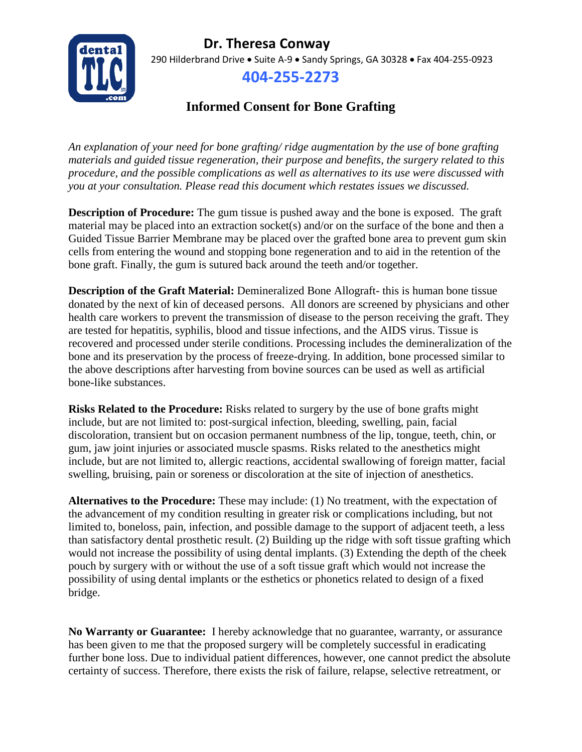## **Dr. Theresa Conway**



290 Hilderbrand Drive • Suite A-9 • Sandy Springs, GA 30328 • Fax 404-255-0923

## **404-255-2273**

## **Informed Consent for Bone Grafting**

*An explanation of your need for bone grafting/ ridge augmentation by the use of bone grafting materials and guided tissue regeneration, their purpose and benefits, the surgery related to this procedure, and the possible complications as well as alternatives to its use were discussed with you at your consultation. Please read this document which restates issues we discussed.*

**Description of Procedure:** The gum tissue is pushed away and the bone is exposed. The graft material may be placed into an extraction socket(s) and/or on the surface of the bone and then a Guided Tissue Barrier Membrane may be placed over the grafted bone area to prevent gum skin cells from entering the wound and stopping bone regeneration and to aid in the retention of the bone graft. Finally, the gum is sutured back around the teeth and/or together.

**Description of the Graft Material:** Demineralized Bone Allograft- this is human bone tissue donated by the next of kin of deceased persons. All donors are screened by physicians and other health care workers to prevent the transmission of disease to the person receiving the graft. They are tested for hepatitis, syphilis, blood and tissue infections, and the AIDS virus. Tissue is recovered and processed under sterile conditions. Processing includes the demineralization of the bone and its preservation by the process of freeze-drying. In addition, bone processed similar to the above descriptions after harvesting from bovine sources can be used as well as artificial bone-like substances.

**Risks Related to the Procedure:** Risks related to surgery by the use of bone grafts might include, but are not limited to: post-surgical infection, bleeding, swelling, pain, facial discoloration, transient but on occasion permanent numbness of the lip, tongue, teeth, chin, or gum, jaw joint injuries or associated muscle spasms. Risks related to the anesthetics might include, but are not limited to, allergic reactions, accidental swallowing of foreign matter, facial swelling, bruising, pain or soreness or discoloration at the site of injection of anesthetics.

**Alternatives to the Procedure:** These may include: (1) No treatment, with the expectation of the advancement of my condition resulting in greater risk or complications including, but not limited to, boneloss, pain, infection, and possible damage to the support of adjacent teeth, a less than satisfactory dental prosthetic result. (2) Building up the ridge with soft tissue grafting which would not increase the possibility of using dental implants. (3) Extending the depth of the cheek pouch by surgery with or without the use of a soft tissue graft which would not increase the possibility of using dental implants or the esthetics or phonetics related to design of a fixed bridge.

**No Warranty or Guarantee:** I hereby acknowledge that no guarantee, warranty, or assurance has been given to me that the proposed surgery will be completely successful in eradicating further bone loss. Due to individual patient differences, however, one cannot predict the absolute certainty of success. Therefore, there exists the risk of failure, relapse, selective retreatment, or